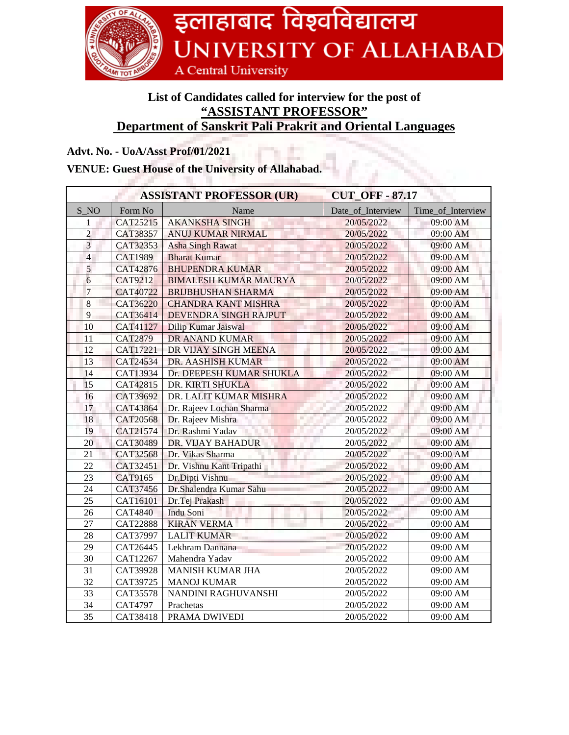

## **List of Candidates called for interview for the post of "ASSISTANT PROFESSOR" Department of Sanskrit Pali Prakrit and Oriental Languages**

## **Advt. No. - UoA/Asst Prof/01/2021**

## **VENUE: Guest House of the University of Allahabad.**

| <b>ASSISTANT PROFESSOR (UR)</b> |                 |                              | <b>CUT_OFF-87.17</b> |                   |
|---------------------------------|-----------------|------------------------------|----------------------|-------------------|
| S NO                            | Form No         | Name                         | Date of Interview    | Time_of_Interview |
| 1                               | CAT25215        | <b>AKANKSHA SINGH</b>        | 20/05/2022           | 09:00 AM          |
| $\overline{c}$                  | CAT38357        | <b>ANUJ KUMAR NIRMAL</b>     | 20/05/2022           | 09:00 AM          |
| $\overline{3}$                  | CAT32353        | <b>Asha Singh Rawat</b>      | 20/05/2022           | 09:00 AM          |
| $\overline{4}$                  | <b>CAT1989</b>  | <b>Bharat Kumar</b>          | 20/05/2022           | 09:00 AM          |
| 5                               | CAT42876        | <b>BHUPENDRA KUMAR</b>       | 20/05/2022           | 09:00 AM          |
| $\overline{6}$                  | <b>CAT9212</b>  | <b>BIMALESH KUMAR MAURYA</b> | 20/05/2022           | 09:00 AM          |
| $\overline{7}$                  | CAT40722        | <b>BRIJBHUSHAN SHARMA</b>    | 20/05/2022           | 09:00 AM          |
| $\,8\,$                         | CAT36220        | <b>CHANDRA KANT MISHRA</b>   | 20/05/2022           | 09:00 AM          |
| 9                               | CAT36414        | DEVENDRA SINGH RAJPUT        | 20/05/2022           | 09:00 AM          |
| 10                              | CAT41127        | Dilip Kumar Jaiswal          | 20/05/2022           | 09:00 AM          |
| 11                              | <b>CAT2879</b>  | DR ANAND KUMAR               | 20/05/2022           | 09:00 AM          |
| 12                              | CAT17221        | DR VIJAY SINGH MEENA         | 20/05/2022           | 09:00 AM          |
| 13                              | CAT24534        | <b>DR. AASHISH KUMAR</b>     | 20/05/2022           | 09:00 AM          |
| 14                              | CAT13934        | Dr. DEEPESH KUMAR SHUKLA     | 20/05/2022           | 09:00 AM          |
| 15                              | CAT42815        | DR. KIRTI SHUKLA             | 20/05/2022           | 09:00 AM          |
| 16                              | CAT39692        | DR. LALIT KUMAR MISHRA       | 20/05/2022           | 09:00 AM          |
| 17                              | CAT43864        | Dr. Rajeev Lochan Sharma     | 20/05/2022           | 09:00 AM          |
| 18                              | <b>CAT20568</b> | Dr. Rajeev Mishra            | 20/05/2022           | 09:00 AM          |
| 19                              | CAT21574        | Dr. Rashmi Yadav             | 20/05/2022           | 09:00 AM          |
| 20                              | CAT30489        | DR. VIJAY BAHADUR            | 20/05/2022           | 09:00 AM          |
| 21                              | CAT32568        | Dr. Vikas Sharma             | 20/05/2022           | 09:00 AM          |
| 22                              | CAT32451        | Dr. Vishnu Kant Tripathi     | 20/05/2022           | 09:00 AM          |
| 23                              | CAT9165         | Dr.Dipti Vishnu              | 20/05/2022           | 09:00 AM          |
| 24                              | CAT37456        | Dr.Shalendra Kumar Sahu      | 20/05/2022           | 09:00 AM          |
| 25                              | CAT16101        | Dr.Tej Prakash               | 20/05/2022           | 09:00 AM          |
| 26                              | <b>CAT4840</b>  | Indu Soni                    | 20/05/2022           | 09:00 AM          |
| 27                              | <b>CAT22888</b> | <b>KIRAN VERMA</b>           | 20/05/2022           | 09:00 AM          |
| 28                              | CAT37997        | <b>LALIT KUMAR</b>           | 20/05/2022           | 09:00 AM          |
| 29                              | CAT26445        | Lekhram Dannana              | 20/05/2022           | 09:00 AM          |
| 30                              | CAT12267        | Mahendra Yadav               | 20/05/2022           | 09:00 AM          |
| 31                              | CAT39928        | <b>MANISH KUMAR JHA</b>      | 20/05/2022           | 09:00 AM          |
| 32                              | CAT39725        | <b>MANOJ KUMAR</b>           | 20/05/2022           | 09:00 AM          |
| 33                              | CAT35578        | NANDINI RAGHUVANSHI          | 20/05/2022           | 09:00 AM          |
| 34                              | CAT4797         | Prachetas                    | 20/05/2022           | 09:00 AM          |
| 35                              | CAT38418        | PRAMA DWIVEDI                | 20/05/2022           | 09:00 AM          |